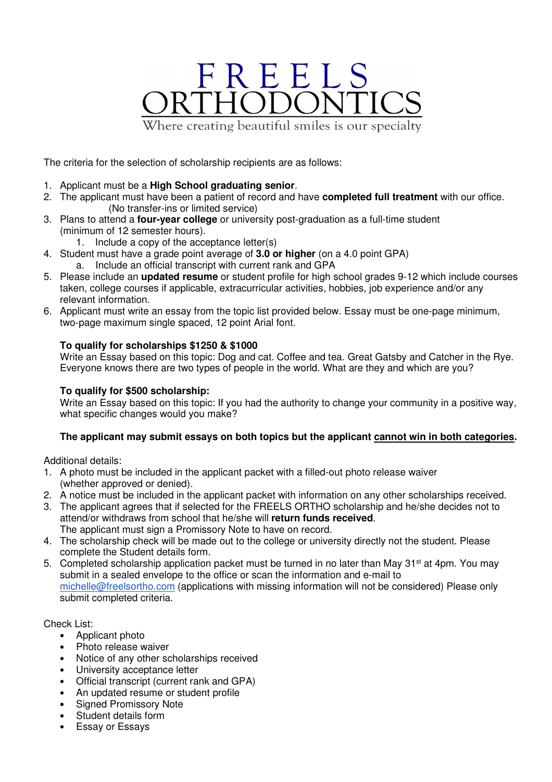## FREELS<br>RTHODONT Where creating beautiful smiles is our specialty

The criteria for the selection of scholarship recipients are as follows:

- 1. Applicant must be a **High School graduating senior**.
- 2. The applicant must have been a patient of record and have **completed full treatment** with our office. (No transfer-ins or limited service)
- 3. Plans to attend a **four-year college** or university post-graduation as a full-time student (minimum of 12 semester hours).
	- 1. Include a copy of the acceptance letter(s)
- 4. Student must have a grade point average of **3.0 or higher** (on a 4.0 point GPA) a. Include an official transcript with current rank and GPA
- 5. Please include an **updated resume** or student profile for high school grades 9-12 which include courses taken, college courses if applicable, extracurricular activities, hobbies, job experience and/or any relevant information.
- 6. Applicant must write an essay from the topic list provided below. Essay must be one-page minimum, two-page maximum single spaced, 12 point Arial font.

### **To qualify for scholarships \$1250 & \$1000**

Write an Essay based on this topic: Dog and cat. Coffee and tea. Great Gatsby and Catcher in the Rye. Everyone knows there are two types of people in the world. What are they and which are you?

#### **To qualify for \$500 scholarship:**

Write an Essay based on this topic: If you had the authority to change your community in a positive way, what specific changes would you make?

### **The applicant may submit essays on both topics but the applicant cannot win in both categories.**

Additional details:

- 1. A photo must be included in the applicant packet with a filled-out photo release waiver (whether approved or denied).
- 2. A notice must be included in the applicant packet with information on any other scholarships received.
- 3. The applicant agrees that if selected for the FREELS ORTHO scholarship and he/she decides not to attend/or withdraws from school that he/she will **return funds received**. The applicant must sign a Promissory Note to have on record.
- 4. The scholarship check will be made out to the college or university directly not the student. Please complete the Student details form.
- 5. Completed scholarship application packet must be turned in no later than May 31<sup>st</sup> at 4pm. You may submit in a sealed envelope to the office or scan the information and e-mail to michelle@freelsortho.com (applications with missing information will not be considered) Please only submit completed criteria.

Check List:

- Applicant photo
- Photo release waiver
- Notice of any other scholarships received
- University acceptance letter
- Official transcript (current rank and GPA)
- An updated resume or student profile
- Signed Promissory Note
- Student details form
- Essay or Essays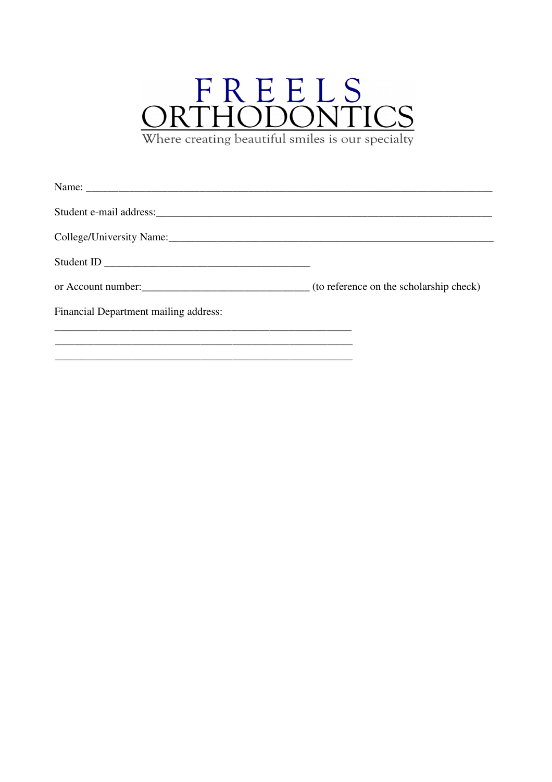# $\underset{\text{Where creating beautiful sniles is our specially}}{\underset{\text{DRTHODONTICS}}{\text{ORTHODONTICS}}}$

| Name:                                                      |  |
|------------------------------------------------------------|--|
|                                                            |  |
|                                                            |  |
| Student ID                                                 |  |
| or Account number: (to reference on the scholarship check) |  |
| Financial Department mailing address:                      |  |
|                                                            |  |
|                                                            |  |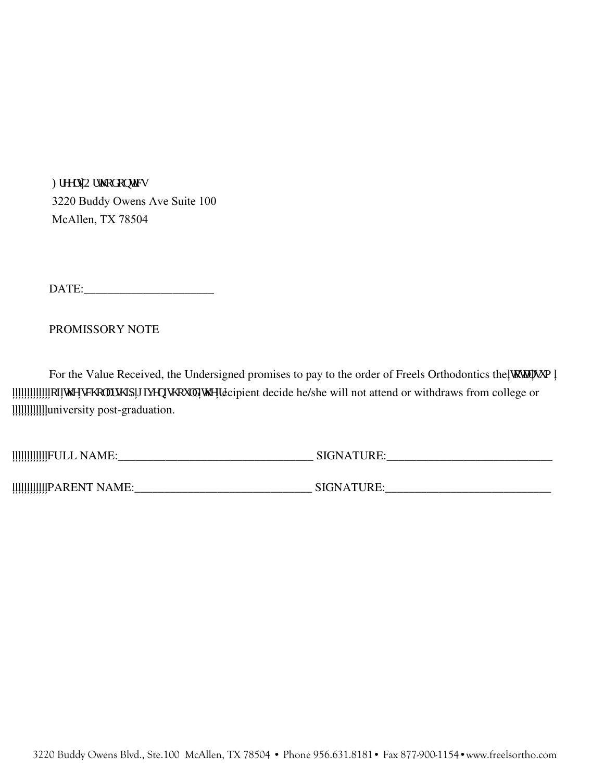Higgnu'Qtyj qf qpvkeu 3220 Buddy Owens Ave Suite 100 McAllen, TX 78504

DATE:

### PROMISSORY NOTE

For the Value Received, the Undersigned promises to pay to the order of Freels Orthodontics the 'quark over """"""""""qh'y g'uej qn:tuj k 'i kxgp'uj qwf 'y g'tecipient decide he/she will not attend or withdraws from college or university post-graduation.

FULL NAME:\_\_\_\_\_\_\_\_\_\_\_\_\_\_\_\_\_\_\_\_\_\_\_\_\_\_\_\_\_\_\_\_\_ SIGNATURE:\_\_\_\_\_\_\_\_\_\_\_\_\_\_\_\_\_\_\_\_\_\_\_\_\_\_\_\_

PARENT NAME:\_\_\_\_\_\_\_\_\_\_\_\_\_\_\_\_\_\_\_\_\_\_\_\_\_\_\_\_\_\_ SIGNATURE:\_\_\_\_\_\_\_\_\_\_\_\_\_\_\_\_\_\_\_\_\_\_\_\_\_\_\_\_